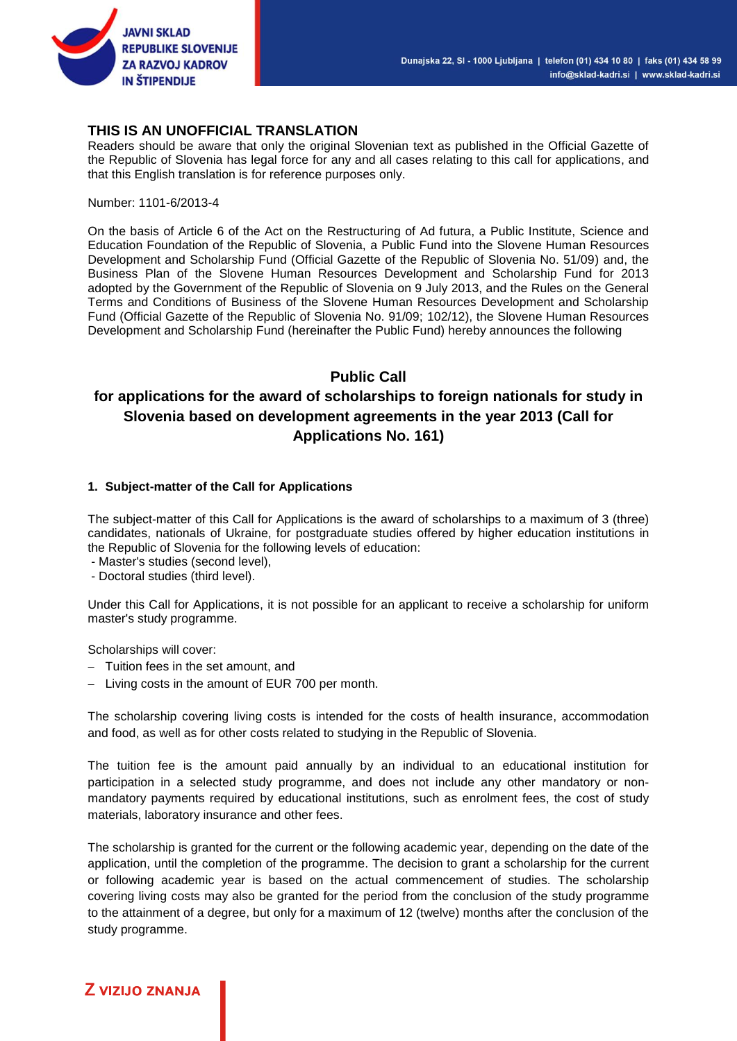

### **THIS IS AN UNOFFICIAL TRANSLATION**

Readers should be aware that only the original Slovenian text as published in the Official Gazette of the Republic of Slovenia has legal force for any and all cases relating to this call for applications, and that this English translation is for reference purposes only.

Number: 1101-6/2013-4

On the basis of Article 6 of the Act on the Restructuring of Ad futura, a Public Institute, Science and Education Foundation of the Republic of Slovenia, a Public Fund into the Slovene Human Resources Development and Scholarship Fund (Official Gazette of the Republic of Slovenia No. 51/09) and, the Business Plan of the Slovene Human Resources Development and Scholarship Fund for 2013 adopted by the Government of the Republic of Slovenia on 9 July 2013, and the Rules on the General Terms and Conditions of Business of the Slovene Human Resources Development and Scholarship Fund (Official Gazette of the Republic of Slovenia No. 91/09; 102/12), the Slovene Human Resources Development and Scholarship Fund (hereinafter the Public Fund) hereby announces the following

### **Public Call**

## **for applications for the award of scholarships to foreign nationals for study in Slovenia based on development agreements in the year 2013 (Call for Applications No. 161)**

#### **1. Subject-matter of the Call for Applications**

The subject-matter of this Call for Applications is the award of scholarships to a maximum of 3 (three) candidates, nationals of Ukraine, for postgraduate studies offered by higher education institutions in the Republic of Slovenia for the following levels of education:

- Master's studies (second level),
- Doctoral studies (third level).

Under this Call for Applications, it is not possible for an applicant to receive a scholarship for uniform master's study programme.

Scholarships will cover:

- $-$  Tuition fees in the set amount, and
- $-$  Living costs in the amount of EUR 700 per month.

The scholarship covering living costs is intended for the costs of health insurance, accommodation and food, as well as for other costs related to studying in the Republic of Slovenia.

The tuition fee is the amount paid annually by an individual to an educational institution for participation in a selected study programme, and does not include any other mandatory or nonmandatory payments required by educational institutions, such as enrolment fees, the cost of study materials, laboratory insurance and other fees.

The scholarship is granted for the current or the following academic year, depending on the date of the application, until the completion of the programme. The decision to grant a scholarship for the current or following academic year is based on the actual commencement of studies. The scholarship covering living costs may also be granted for the period from the conclusion of the study programme to the attainment of a degree, but only for a maximum of 12 (twelve) months after the conclusion of the study programme.

### **Z VIZIJO ZNANJA**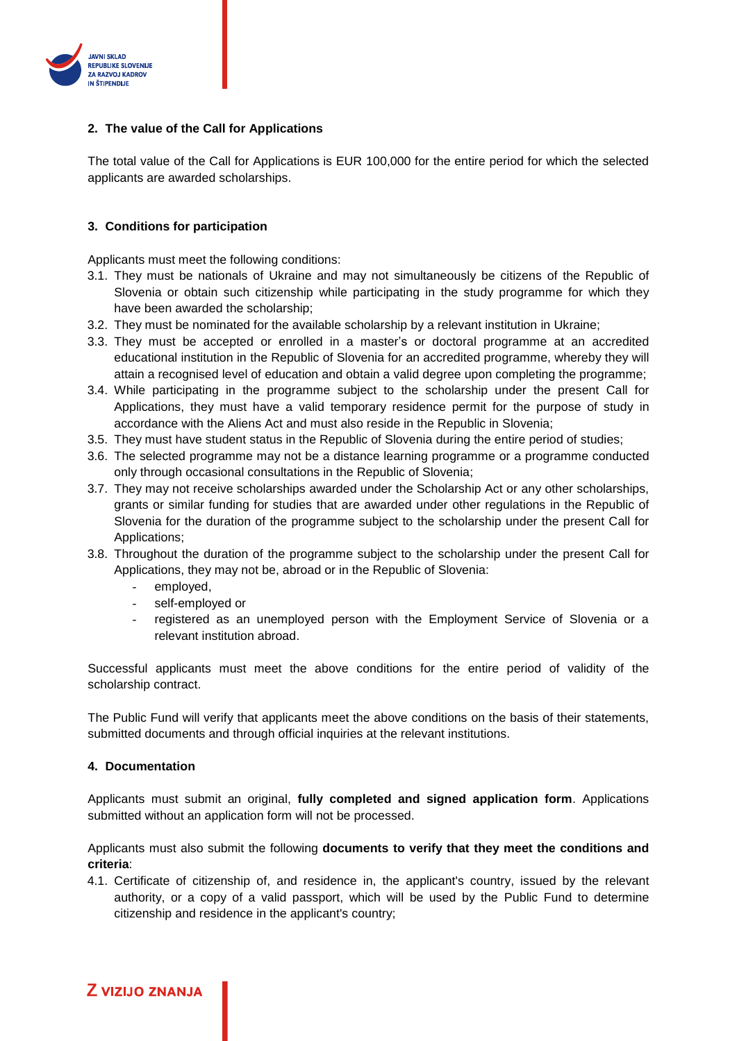

### **2. The value of the Call for Applications**

The total value of the Call for Applications is EUR 100,000 for the entire period for which the selected applicants are awarded scholarships.

#### **3. Conditions for participation**

Applicants must meet the following conditions:

- 3.1. They must be nationals of Ukraine and may not simultaneously be citizens of the Republic of Slovenia or obtain such citizenship while participating in the study programme for which they have been awarded the scholarship;
- 3.2. They must be nominated for the available scholarship by a relevant institution in Ukraine;
- 3.3. They must be accepted or enrolled in a master's or doctoral programme at an accredited educational institution in the Republic of Slovenia for an accredited programme, whereby they will attain a recognised level of education and obtain a valid degree upon completing the programme;
- 3.4. While participating in the programme subject to the scholarship under the present Call for Applications, they must have a valid temporary residence permit for the purpose of study in accordance with the Aliens Act and must also reside in the Republic in Slovenia;
- 3.5. They must have student status in the Republic of Slovenia during the entire period of studies;
- 3.6. The selected programme may not be a distance learning programme or a programme conducted only through occasional consultations in the Republic of Slovenia;
- 3.7. They may not receive scholarships awarded under the Scholarship Act or any other scholarships, grants or similar funding for studies that are awarded under other regulations in the Republic of Slovenia for the duration of the programme subject to the scholarship under the present Call for Applications;
- 3.8. Throughout the duration of the programme subject to the scholarship under the present Call for Applications, they may not be, abroad or in the Republic of Slovenia:
	- employed,
	- self-employed or
	- registered as an unemployed person with the Employment Service of Slovenia or a relevant institution abroad.

Successful applicants must meet the above conditions for the entire period of validity of the scholarship contract.

The Public Fund will verify that applicants meet the above conditions on the basis of their statements, submitted documents and through official inquiries at the relevant institutions.

#### **4. Documentation**

**Z VIZIJO ZNANJA** 

Applicants must submit an original, **fully completed and signed application form**. Applications submitted without an application form will not be processed.

Applicants must also submit the following **documents to verify that they meet the conditions and criteria**:

4.1. Certificate of citizenship of, and residence in, the applicant's country, issued by the relevant authority, or a copy of a valid passport, which will be used by the Public Fund to determine citizenship and residence in the applicant's country;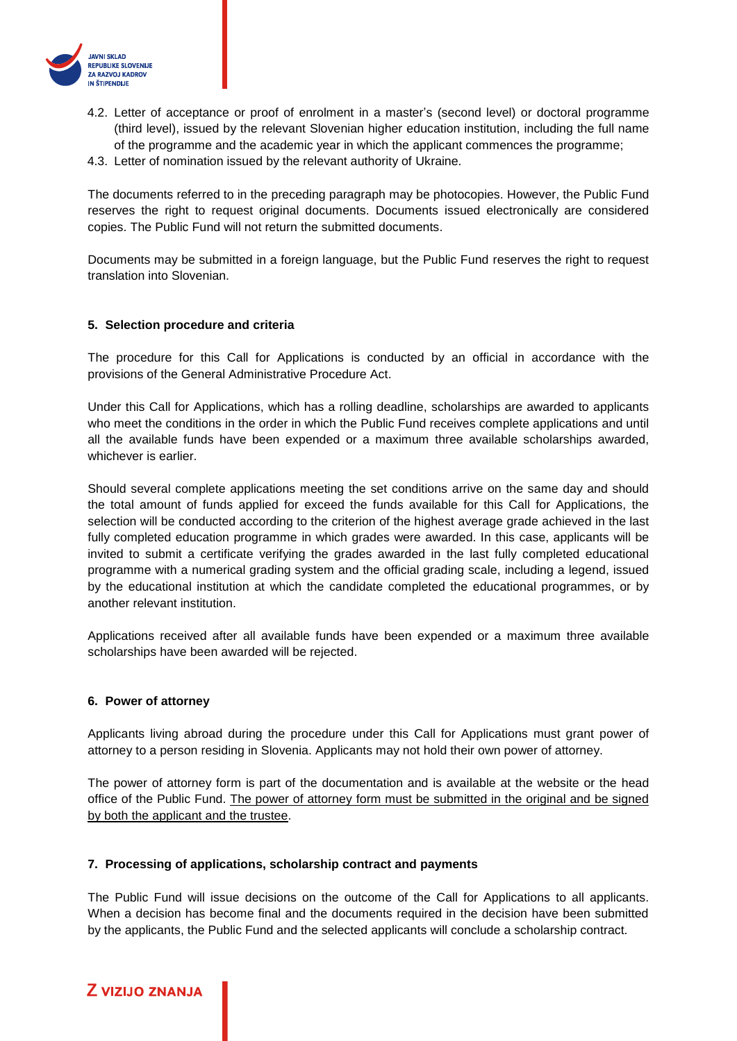

- 4.2. Letter of acceptance or proof of enrolment in a master's (second level) or doctoral programme (third level), issued by the relevant Slovenian higher education institution, including the full name of the programme and the academic year in which the applicant commences the programme;
- 4.3. Letter of nomination issued by the relevant authority of Ukraine.

The documents referred to in the preceding paragraph may be photocopies. However, the Public Fund reserves the right to request original documents. Documents issued electronically are considered copies. The Public Fund will not return the submitted documents.

Documents may be submitted in a foreign language, but the Public Fund reserves the right to request translation into Slovenian.

#### **5. Selection procedure and criteria**

The procedure for this Call for Applications is conducted by an official in accordance with the provisions of the General Administrative Procedure Act.

Under this Call for Applications, which has a rolling deadline, scholarships are awarded to applicants who meet the conditions in the order in which the Public Fund receives complete applications and until all the available funds have been expended or a maximum three available scholarships awarded, whichever is earlier.

Should several complete applications meeting the set conditions arrive on the same day and should the total amount of funds applied for exceed the funds available for this Call for Applications, the selection will be conducted according to the criterion of the highest average grade achieved in the last fully completed education programme in which grades were awarded. In this case, applicants will be invited to submit a certificate verifying the grades awarded in the last fully completed educational programme with a numerical grading system and the official grading scale, including a legend, issued by the educational institution at which the candidate completed the educational programmes, or by another relevant institution.

Applications received after all available funds have been expended or a maximum three available scholarships have been awarded will be rejected.

#### **6. Power of attorney**

Applicants living abroad during the procedure under this Call for Applications must grant power of attorney to a person residing in Slovenia. Applicants may not hold their own power of attorney.

The power of attorney form is part of the documentation and is available at the website or the head office of the Public Fund. The power of attorney form must be submitted in the original and be signed by both the applicant and the trustee.

#### **7. Processing of applications, scholarship contract and payments**

The Public Fund will issue decisions on the outcome of the Call for Applications to all applicants. When a decision has become final and the documents required in the decision have been submitted by the applicants, the Public Fund and the selected applicants will conclude a scholarship contract.

## **Z VIZIJO ZNANJA**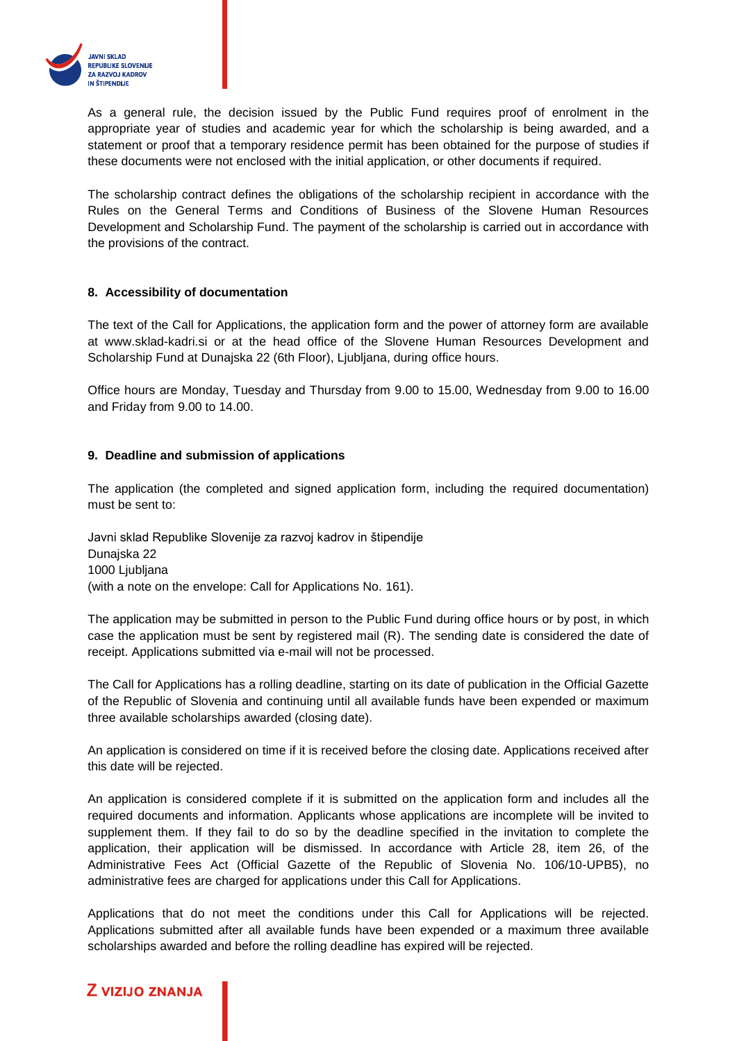

As a general rule, the decision issued by the Public Fund requires proof of enrolment in the appropriate year of studies and academic year for which the scholarship is being awarded, and a statement or proof that a temporary residence permit has been obtained for the purpose of studies if these documents were not enclosed with the initial application, or other documents if required.

The scholarship contract defines the obligations of the scholarship recipient in accordance with the Rules on the General Terms and Conditions of Business of the Slovene Human Resources Development and Scholarship Fund. The payment of the scholarship is carried out in accordance with the provisions of the contract.

#### **8. Accessibility of documentation**

The text of the Call for Applications, the application form and the power of attorney form are available at www.sklad-kadri.si or at the head office of the Slovene Human Resources Development and Scholarship Fund at Dunajska 22 (6th Floor), Ljubljana, during office hours.

Office hours are Monday, Tuesday and Thursday from 9.00 to 15.00, Wednesday from 9.00 to 16.00 and Friday from 9.00 to 14.00.

#### **9. Deadline and submission of applications**

The application (the completed and signed application form, including the required documentation) must be sent to:

Javni sklad Republike Slovenije za razvoj kadrov in štipendije Dunajska 22 1000 Ljubljana (with a note on the envelope: Call for Applications No. 161).

The application may be submitted in person to the Public Fund during office hours or by post, in which case the application must be sent by registered mail (R). The sending date is considered the date of receipt. Applications submitted via e-mail will not be processed.

The Call for Applications has a rolling deadline, starting on its date of publication in the Official Gazette of the Republic of Slovenia and continuing until all available funds have been expended or maximum three available scholarships awarded (closing date).

An application is considered on time if it is received before the closing date. Applications received after this date will be rejected.

An application is considered complete if it is submitted on the application form and includes all the required documents and information. Applicants whose applications are incomplete will be invited to supplement them. If they fail to do so by the deadline specified in the invitation to complete the application, their application will be dismissed. In accordance with Article 28, item 26, of the Administrative Fees Act (Official Gazette of the Republic of Slovenia No. 106/10-UPB5), no administrative fees are charged for applications under this Call for Applications.

Applications that do not meet the conditions under this Call for Applications will be rejected. Applications submitted after all available funds have been expended or a maximum three available scholarships awarded and before the rolling deadline has expired will be rejected.

# **Z VIZIJO ZNANJA**